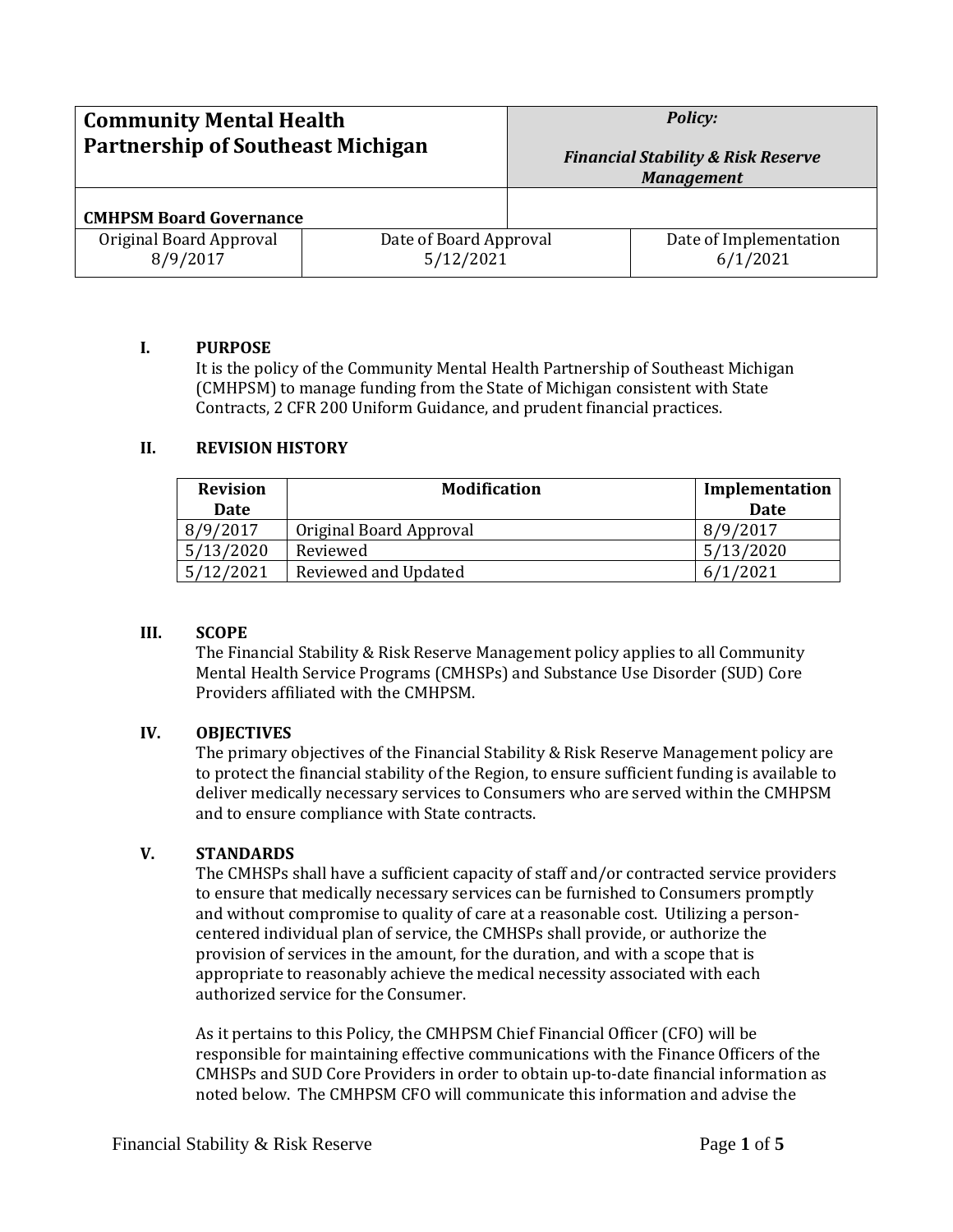| <b>Community Mental Health</b><br><b>Partnership of Southeast Michigan</b> |                                     | <b>Policy:</b><br><b>Financial Stability &amp; Risk Reserve</b><br><b>Management</b> |                                    |
|----------------------------------------------------------------------------|-------------------------------------|--------------------------------------------------------------------------------------|------------------------------------|
| <b>CMHPSM Board Governance</b>                                             |                                     |                                                                                      |                                    |
| Original Board Approval<br>8/9/2017                                        | Date of Board Approval<br>5/12/2021 |                                                                                      | Date of Implementation<br>6/1/2021 |

### **I. PURPOSE**

It is the policy of the Community Mental Health Partnership of Southeast Michigan (CMHPSM) to manage funding from the State of Michigan consistent with State Contracts, 2 CFR 200 Uniform Guidance, and prudent financial practices.

### **II. REVISION HISTORY**

| <b>Revision</b> | <b>Modification</b>     | Implementation |
|-----------------|-------------------------|----------------|
| <b>Date</b>     |                         | Date           |
| 8/9/2017        | Original Board Approval | 8/9/2017       |
| 5/13/2020       | Reviewed                | 5/13/2020      |
| 5/12/2021       | Reviewed and Updated    | 6/1/2021       |

#### **III. SCOPE**

The Financial Stability & Risk Reserve Management policy applies to all Community Mental Health Service Programs (CMHSPs) and Substance Use Disorder (SUD) Core Providers affiliated with the CMHPSM.

### **IV. OBJECTIVES**

The primary objectives of the Financial Stability & Risk Reserve Management policy are to protect the financial stability of the Region, to ensure sufficient funding is available to deliver medically necessary services to Consumers who are served within the CMHPSM and to ensure compliance with State contracts.

### **V. STANDARDS**

The CMHSPs shall have a sufficient capacity of staff and/or contracted service providers to ensure that medically necessary services can be furnished to Consumers promptly and without compromise to quality of care at a reasonable cost. Utilizing a personcentered individual plan of service, the CMHSPs shall provide, or authorize the provision of services in the amount, for the duration, and with a scope that is appropriate to reasonably achieve the medical necessity associated with each authorized service for the Consumer.

As it pertains to this Policy, the CMHPSM Chief Financial Officer (CFO) will be responsible for maintaining effective communications with the Finance Officers of the CMHSPs and SUD Core Providers in order to obtain up-to-date financial information as noted below. The CMHPSM CFO will communicate this information and advise the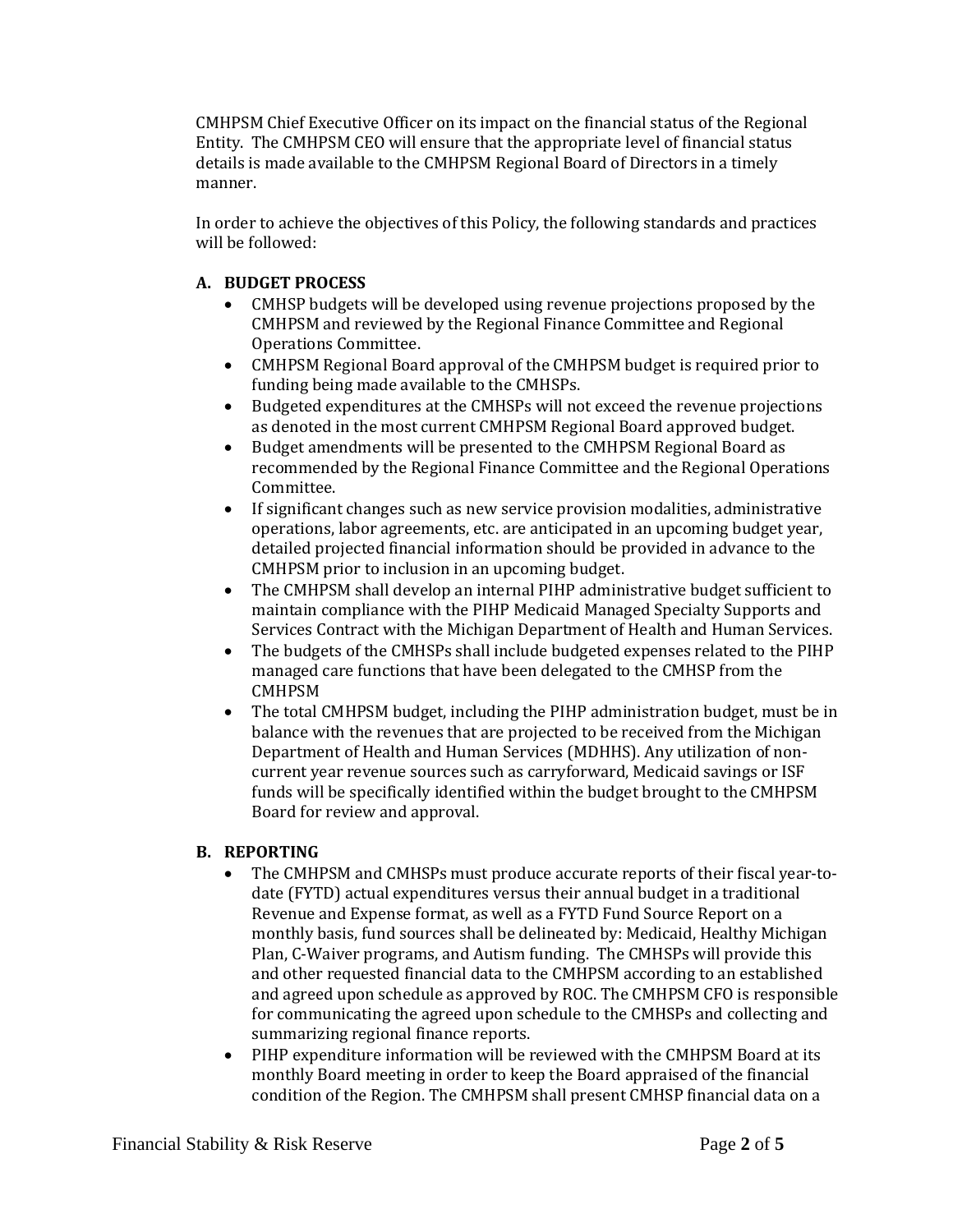CMHPSM Chief Executive Officer on its impact on the financial status of the Regional Entity. The CMHPSM CEO will ensure that the appropriate level of financial status details is made available to the CMHPSM Regional Board of Directors in a timely manner.

In order to achieve the objectives of this Policy, the following standards and practices will be followed:

# **A. BUDGET PROCESS**

- CMHSP budgets will be developed using revenue projections proposed by the CMHPSM and reviewed by the Regional Finance Committee and Regional Operations Committee.
- CMHPSM Regional Board approval of the CMHPSM budget is required prior to funding being made available to the CMHSPs.
- Budgeted expenditures at the CMHSPs will not exceed the revenue projections as denoted in the most current CMHPSM Regional Board approved budget.
- Budget amendments will be presented to the CMHPSM Regional Board as recommended by the Regional Finance Committee and the Regional Operations Committee.
- If significant changes such as new service provision modalities, administrative operations, labor agreements, etc. are anticipated in an upcoming budget year, detailed projected financial information should be provided in advance to the CMHPSM prior to inclusion in an upcoming budget.
- The CMHPSM shall develop an internal PIHP administrative budget sufficient to maintain compliance with the PIHP Medicaid Managed Specialty Supports and Services Contract with the Michigan Department of Health and Human Services.
- The budgets of the CMHSPs shall include budgeted expenses related to the PIHP managed care functions that have been delegated to the CMHSP from the CMHPSM
- The total CMHPSM budget, including the PIHP administration budget, must be in balance with the revenues that are projected to be received from the Michigan Department of Health and Human Services (MDHHS). Any utilization of noncurrent year revenue sources such as carryforward, Medicaid savings or ISF funds will be specifically identified within the budget brought to the CMHPSM Board for review and approval.

## **B. REPORTING**

- The CMHPSM and CMHSPs must produce accurate reports of their fiscal year-todate (FYTD) actual expenditures versus their annual budget in a traditional Revenue and Expense format, as well as a FYTD Fund Source Report on a monthly basis, fund sources shall be delineated by: Medicaid, Healthy Michigan Plan, C-Waiver programs, and Autism funding. The CMHSPs will provide this and other requested financial data to the CMHPSM according to an established and agreed upon schedule as approved by ROC. The CMHPSM CFO is responsible for communicating the agreed upon schedule to the CMHSPs and collecting and summarizing regional finance reports.
- PIHP expenditure information will be reviewed with the CMHPSM Board at its monthly Board meeting in order to keep the Board appraised of the financial condition of the Region. The CMHPSM shall present CMHSP financial data on a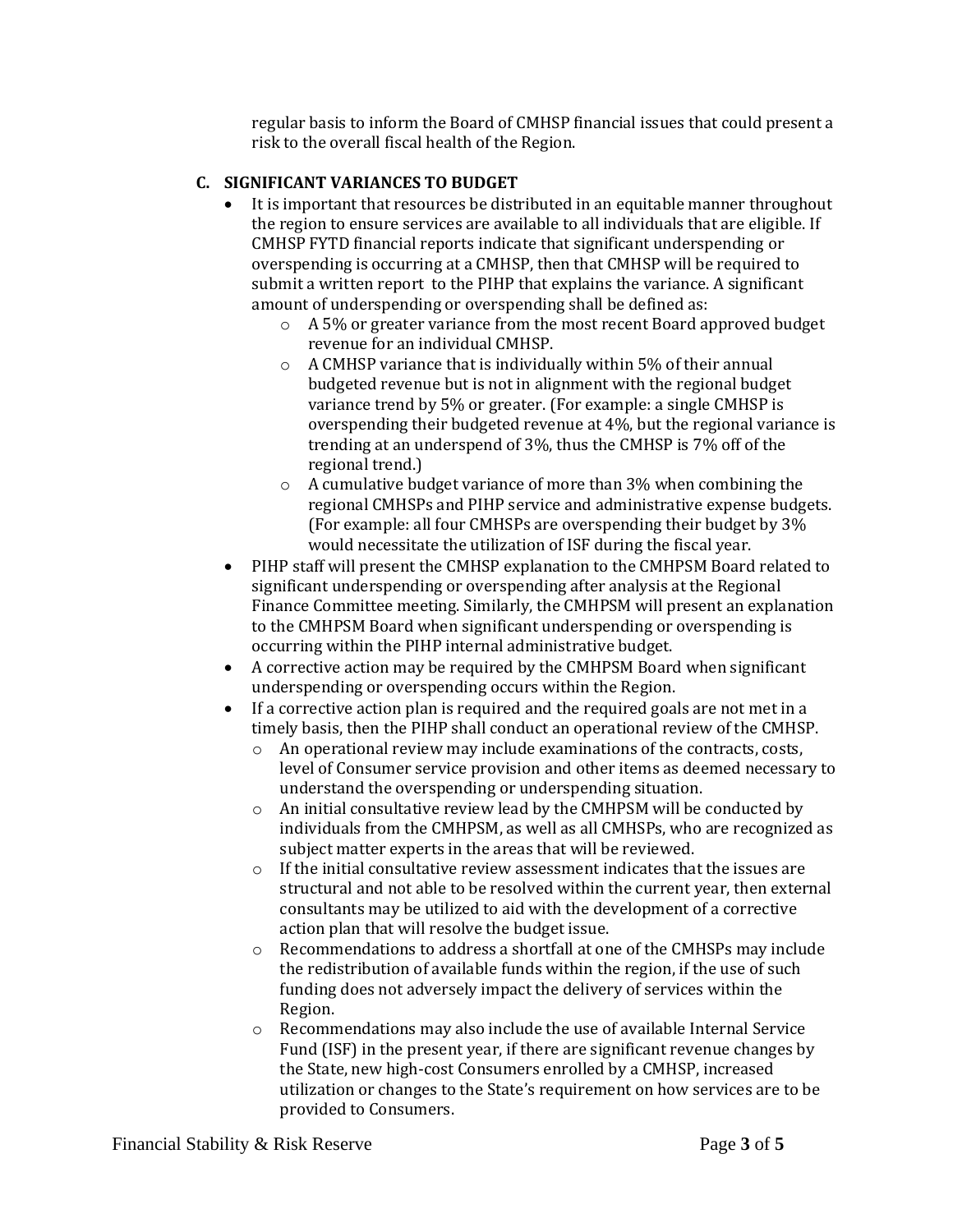regular basis to inform the Board of CMHSP financial issues that could present a risk to the overall fiscal health of the Region.

## **C. SIGNIFICANT VARIANCES TO BUDGET**

- It is important that resources be distributed in an equitable manner throughout the region to ensure services are available to all individuals that are eligible. If CMHSP FYTD financial reports indicate that significant underspending or overspending is occurring at a CMHSP, then that CMHSP will be required to submit a written report to the PIHP that explains the variance. A significant amount of underspending or overspending shall be defined as:
	- o A 5% or greater variance from the most recent Board approved budget revenue for an individual CMHSP.
	- o A CMHSP variance that is individually within 5% of their annual budgeted revenue but is not in alignment with the regional budget variance trend by 5% or greater. (For example: a single CMHSP is overspending their budgeted revenue at 4%, but the regional variance is trending at an underspend of 3%, thus the CMHSP is 7% off of the regional trend.)
	- o A cumulative budget variance of more than 3% when combining the regional CMHSPs and PIHP service and administrative expense budgets. (For example: all four CMHSPs are overspending their budget by 3% would necessitate the utilization of ISF during the fiscal year.
- PIHP staff will present the CMHSP explanation to the CMHPSM Board related to significant underspending or overspending after analysis at the Regional Finance Committee meeting. Similarly, the CMHPSM will present an explanation to the CMHPSM Board when significant underspending or overspending is occurring within the PIHP internal administrative budget.
- A corrective action may be required by the CMHPSM Board when significant underspending or overspending occurs within the Region.
- If a corrective action plan is required and the required goals are not met in a timely basis, then the PIHP shall conduct an operational review of the CMHSP.
	- o An operational review may include examinations of the contracts, costs, level of Consumer service provision and other items as deemed necessary to understand the overspending or underspending situation.
	- o An initial consultative review lead by the CMHPSM will be conducted by individuals from the CMHPSM, as well as all CMHSPs, who are recognized as subject matter experts in the areas that will be reviewed.
	- o If the initial consultative review assessment indicates that the issues are structural and not able to be resolved within the current year, then external consultants may be utilized to aid with the development of a corrective action plan that will resolve the budget issue.
	- o Recommendations to address a shortfall at one of the CMHSPs may include the redistribution of available funds within the region, if the use of such funding does not adversely impact the delivery of services within the Region.
	- o Recommendations may also include the use of available Internal Service Fund (ISF) in the present year, if there are significant revenue changes by the State, new high-cost Consumers enrolled by a CMHSP, increased utilization or changes to the State's requirement on how services are to be provided to Consumers.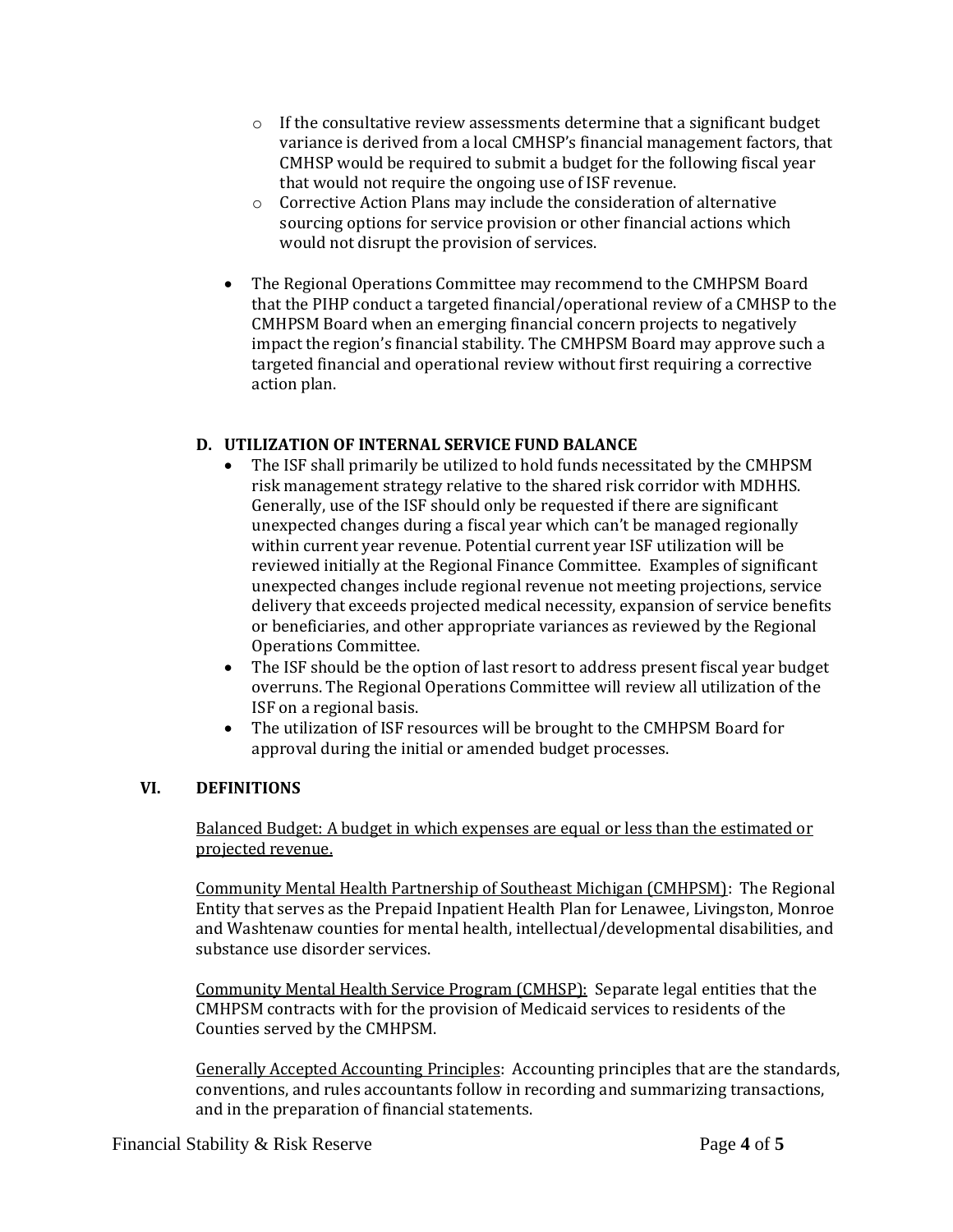- $\circ$  If the consultative review assessments determine that a significant budget variance is derived from a local CMHSP's financial management factors, that CMHSP would be required to submit a budget for the following fiscal year that would not require the ongoing use of ISF revenue.
- o Corrective Action Plans may include the consideration of alternative sourcing options for service provision or other financial actions which would not disrupt the provision of services.
- The Regional Operations Committee may recommend to the CMHPSM Board that the PIHP conduct a targeted financial/operational review of a CMHSP to the CMHPSM Board when an emerging financial concern projects to negatively impact the region's financial stability. The CMHPSM Board may approve such a targeted financial and operational review without first requiring a corrective action plan.

## **D. UTILIZATION OF INTERNAL SERVICE FUND BALANCE**

- The ISF shall primarily be utilized to hold funds necessitated by the CMHPSM risk management strategy relative to the shared risk corridor with MDHHS. Generally, use of the ISF should only be requested if there are significant unexpected changes during a fiscal year which can't be managed regionally within current year revenue. Potential current year ISF utilization will be reviewed initially at the Regional Finance Committee. Examples of significant unexpected changes include regional revenue not meeting projections, service delivery that exceeds projected medical necessity, expansion of service benefits or beneficiaries, and other appropriate variances as reviewed by the Regional Operations Committee.
- The ISF should be the option of last resort to address present fiscal year budget overruns. The Regional Operations Committee will review all utilization of the ISF on a regional basis.
- The utilization of ISF resources will be brought to the CMHPSM Board for approval during the initial or amended budget processes.

### **VI. DEFINITIONS**

Balanced Budget: A budget in which expenses are equal or less than the estimated or projected revenue.

Community Mental Health Partnership of Southeast Michigan (CMHPSM): The Regional Entity that serves as the Prepaid Inpatient Health Plan for Lenawee, Livingston, Monroe and Washtenaw counties for mental health, intellectual/developmental disabilities, and substance use disorder services.

Community Mental Health Service Program (CMHSP): Separate legal entities that the CMHPSM contracts with for the provision of Medicaid services to residents of the Counties served by the CMHPSM.

Generally Accepted Accounting Principles:Accounting principles that are the standards, conventions, and rules accountants follow in recording and summarizing transactions, and in the preparation of financial statements.